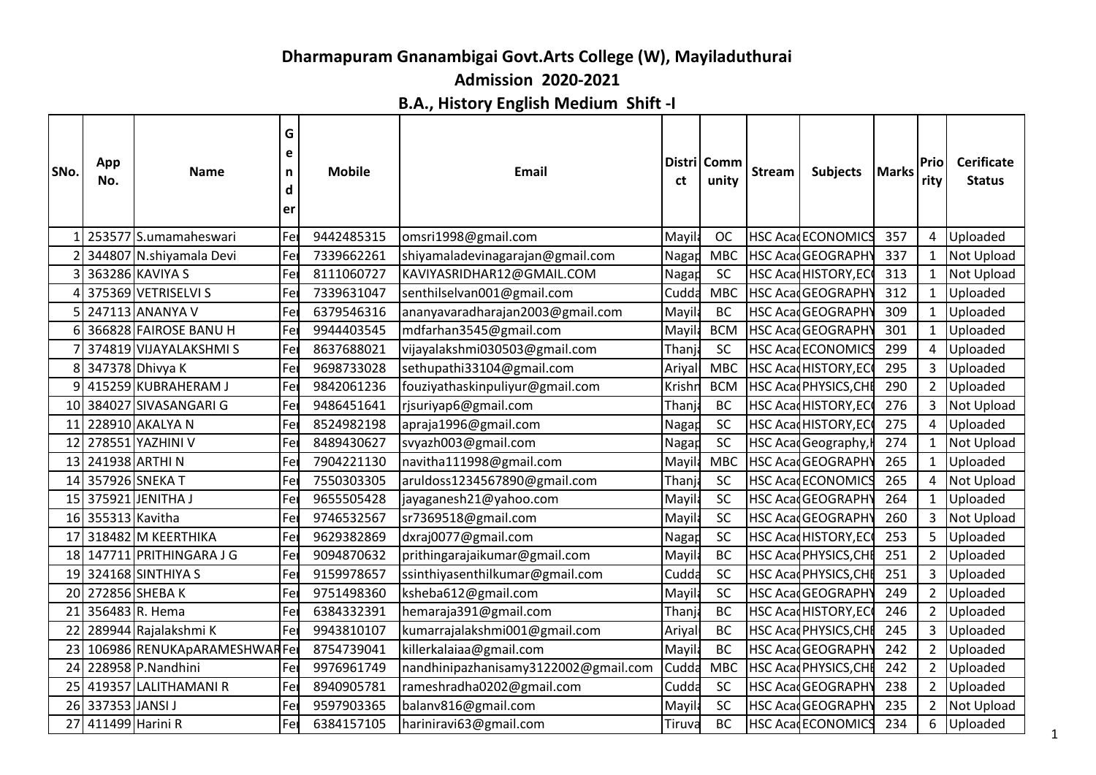## **Dharmapuram Gnanambigai Govt.Arts College (W), Mayiladuthurai**

**Admission 2020-2021**

**B.A., History English Medium Shift -I**

| 253577 S.umamaheswari<br>Fe<br>9442485315<br><b>HSC AcadECONOMICS</b><br>357<br>omsri1998@gmail.com<br>Mayil<br><b>OC</b><br>4<br>Uploaded<br>344807 N.shiyamala Devi<br>lFe<br>7339662261<br><b>HSC AcadGEOGRAPH</b><br>shiyamaladevinagarajan@gmail.com<br>Nagap<br><b>MBC</b><br>337<br>$\mathbf{1}$<br>Not Upload<br>363286 KAVIYA S<br>Fer<br>SC<br>HSC AcadHISTORY, EC<br>8111060727<br>KAVIYASRIDHAR12@GMAIL.COM<br>Nagap<br>313<br>$\mathbf{1}$<br>Not Upload<br>375369 VETRISELVI S<br>HSC Acad GEOGRAPHY<br>Fe<br>7339631047<br>senthilselvan001@gmail.com<br>Cudda<br><b>MBC</b><br>312<br>$\mathbf{1}$<br>Uploaded<br>247113 ANANYA V<br>6379546316<br>ananyavaradharajan2003@gmail.com<br><b>BC</b><br><b>HSC AcadGEOGRAPH</b><br>309<br>$\mathbf{1}$<br>Uploaded<br>Fer<br>Mayil<br>366828 FAIROSE BANU H<br> Fei<br>9944403545<br>mdfarhan3545@gmail.com<br><b>BCM</b><br><b>HSC AcadGEOGRAPH</b><br>301<br>Mayila<br>$\mathbf{1}$<br>Uploaded<br>374819 VIJAYALAKSHMI S<br>8637688021<br>vijayalakshmi030503@gmail.com<br>Thanj<br><b>SC</b><br><b>HSC AcadECONOMICS</b><br>299<br>4<br>Uploaded<br>Fer<br>347378 Dhivya K<br>9698733028<br>sethupathi33104@gmail.com<br>295<br>3<br>Fe<br><b>MBC</b><br><b>HSC Acad HISTORY, EC</b><br>Ariya<br>Uploaded<br>HSC Acad PHYSICS, CH<br>415259 KUBRAHERAM J<br>Fe<br>9842061236<br>fouziyathaskinpuliyur@gmail.com<br><b>BCM</b><br>290<br>$2^{\circ}$<br>Uploaded<br>Krishı<br>384027 SIVASANGARI G<br> Fei<br>9486451641<br>rjsuriyap6@gmail.com<br><b>BC</b><br><b>HSC Acad HISTORY, EC</b><br>276<br>3<br>Thanj<br>Not Upload<br>10 <sup>1</sup><br>228910 AKALYA N<br><b>HSC Acad HISTORY, EC</b><br>Fe<br>8524982198<br><b>SC</b><br>275<br>Uploaded<br>apraja1996@gmail.com<br>Nagar<br>4<br>11<br>278551 YAZHINI V<br>8489430627<br>svyazh003@gmail.com<br><b>SC</b><br>HSC Acad Geography,<br>$\mathbf{1}$<br>12<br>Fer<br>Nagar<br>274<br>Not Upload<br>241938 ARTHI N<br>Fe<br>7904221130<br>navitha111998@gmail.com<br>265<br><b>MBC</b><br>HSC AcadGEOGRAPHY<br>$\mathbf{1}$<br>Uploaded<br>13<br>Mayik<br>14 357926 SNEKA T<br>7550303305<br>aruldoss1234567890@gmail.com<br><b>SC</b><br><b>HSC AcadECONOMICS</b><br>265<br>$\overline{4}$<br>Not Upload<br>Fer<br>Thanj<br>15 375921 JENITHA J<br>Fe<br>9655505428<br>jayaganesh21@yahoo.com<br>SC<br><b>HSC AcadGEOGRAPH</b><br>264<br>Uploaded<br>Mayil<br>$\mathbf{1}$<br>16 355313 Kavitha<br>SC<br>HSC Acad GEOGRAPHY<br>Fer<br>9746532567<br>sr7369518@gmail.com<br>260<br>3<br>Not Upload<br>Mayila<br>318482 M KEERTHIKA<br>5<br> Fei<br>9629382869<br>dxraj0077@gmail.com<br>SC<br><b>HSC Acad HISTORY, EC</b><br>253<br>Uploaded<br>Nagap<br>17<br>18 147711 PRITHINGARA J G<br><b>BC</b><br>HSC Acad PHYSICS, CHI<br>$\overline{2}$<br>Uploaded<br>Fer<br>9094870632<br>prithingarajaikumar@gmail.com<br>Mayil<br>251<br>324168 SINTHIYA S<br>9159978657<br><b>SC</b><br>HSC Acad PHYSICS, CHI<br>3<br>Fe<br>ssinthiyasenthilkumar@gmail.com<br>Cudda<br>251<br>Uploaded<br>19<br>272856 SHEBA K<br>9751498360<br>SC<br>ksheba612@gmail.com<br><b>HSC AcadGEOGRAPH</b><br>249<br>$\overline{2}$<br>Uploaded<br>20<br>Fe<br>Mayil<br>356483 R. Hema<br>246<br>$\overline{2}$<br>6384332391<br>hemaraja391@gmail.com<br><b>BC</b><br>HSC Acad HISTORY, EC<br>Uploaded<br>Thanj<br>21<br>Fer<br>289944 Rajalakshmi K<br>HSC AcadPHYSICS, CH<br>Fe<br>9943810107<br>kumarrajalakshmi001@gmail.com<br>245<br>Uploaded<br>22<br>Ariya<br><b>BC</b><br>3<br>8754739041<br>HSC AcadGEOGRAPHY<br>242<br>$\overline{2}$<br>106986 RENUKApARAMESHWARFer<br>killerkalaiaa@gmail.com<br>Mayil<br><b>BC</b><br>Uploaded<br>228958 P.Nandhini<br>9976961749<br>nandhinipazhanisamy3122002@gmail.com<br>HSC Acad PHYSICS, CH<br>242<br>$\overline{2}$<br>Cudda<br><b>MBC</b><br>Uploaded<br>24<br>Fe<br>SC<br>$2^{\circ}$<br>25 419357 LALITHAMANI R<br>Fel<br>8940905781<br>HSC AcadGEOGRAPHY<br>238<br>Uploaded<br>rameshradha0202@gmail.com<br>Cudda<br>337353 JANSI J<br>Fe<br>9597903365<br>balanv816@gmail.com<br><b>SC</b><br>HSC AcadGEOGRAPHY<br>235<br>$\overline{2}$<br>Not Upload<br>26<br>Mayil<br>6<br>411499 Harini R<br>Fer<br><b>HSC AcadECONOMICS</b><br>Uploaded<br>6384157105<br>hariniravi63@gmail.com<br><b>BC</b><br>234<br>27<br>Tiruva | SNo. | App<br>No. | <b>Name</b> | G<br>e<br>n<br>d<br>er | <b>Mobile</b> | <b>Email</b> | ct | Distri Comm<br>unity | <b>Stream</b> | Subjects   Marks | Prio<br>rity | <b>Cerificate</b><br><b>Status</b> |    |
|-----------------------------------------------------------------------------------------------------------------------------------------------------------------------------------------------------------------------------------------------------------------------------------------------------------------------------------------------------------------------------------------------------------------------------------------------------------------------------------------------------------------------------------------------------------------------------------------------------------------------------------------------------------------------------------------------------------------------------------------------------------------------------------------------------------------------------------------------------------------------------------------------------------------------------------------------------------------------------------------------------------------------------------------------------------------------------------------------------------------------------------------------------------------------------------------------------------------------------------------------------------------------------------------------------------------------------------------------------------------------------------------------------------------------------------------------------------------------------------------------------------------------------------------------------------------------------------------------------------------------------------------------------------------------------------------------------------------------------------------------------------------------------------------------------------------------------------------------------------------------------------------------------------------------------------------------------------------------------------------------------------------------------------------------------------------------------------------------------------------------------------------------------------------------------------------------------------------------------------------------------------------------------------------------------------------------------------------------------------------------------------------------------------------------------------------------------------------------------------------------------------------------------------------------------------------------------------------------------------------------------------------------------------------------------------------------------------------------------------------------------------------------------------------------------------------------------------------------------------------------------------------------------------------------------------------------------------------------------------------------------------------------------------------------------------------------------------------------------------------------------------------------------------------------------------------------------------------------------------------------------------------------------------------------------------------------------------------------------------------------------------------------------------------------------------------------------------------------------------------------------------------------------------------------------------------------------------------------------------------------------------------------------------------------------------------------------------------------------------------------------------------------------------------------------------------------------------------------------------------------------------------------------------------------------------------------------------------------------------------------------------------------------------------------------------------------------------------------------------------------------------------------------------------------------------------------------------------------------------------------------------------------------------------|------|------------|-------------|------------------------|---------------|--------------|----|----------------------|---------------|------------------|--------------|------------------------------------|----|
|                                                                                                                                                                                                                                                                                                                                                                                                                                                                                                                                                                                                                                                                                                                                                                                                                                                                                                                                                                                                                                                                                                                                                                                                                                                                                                                                                                                                                                                                                                                                                                                                                                                                                                                                                                                                                                                                                                                                                                                                                                                                                                                                                                                                                                                                                                                                                                                                                                                                                                                                                                                                                                                                                                                                                                                                                                                                                                                                                                                                                                                                                                                                                                                                                                                                                                                                                                                                                                                                                                                                                                                                                                                                                                                                                                                                                                                                                                                                                                                                                                                                                                                                                                                                                                                                                         |      |            |             |                        |               |              |    |                      |               |                  |              |                                    |    |
|                                                                                                                                                                                                                                                                                                                                                                                                                                                                                                                                                                                                                                                                                                                                                                                                                                                                                                                                                                                                                                                                                                                                                                                                                                                                                                                                                                                                                                                                                                                                                                                                                                                                                                                                                                                                                                                                                                                                                                                                                                                                                                                                                                                                                                                                                                                                                                                                                                                                                                                                                                                                                                                                                                                                                                                                                                                                                                                                                                                                                                                                                                                                                                                                                                                                                                                                                                                                                                                                                                                                                                                                                                                                                                                                                                                                                                                                                                                                                                                                                                                                                                                                                                                                                                                                                         |      |            |             |                        |               |              |    |                      |               |                  |              |                                    |    |
|                                                                                                                                                                                                                                                                                                                                                                                                                                                                                                                                                                                                                                                                                                                                                                                                                                                                                                                                                                                                                                                                                                                                                                                                                                                                                                                                                                                                                                                                                                                                                                                                                                                                                                                                                                                                                                                                                                                                                                                                                                                                                                                                                                                                                                                                                                                                                                                                                                                                                                                                                                                                                                                                                                                                                                                                                                                                                                                                                                                                                                                                                                                                                                                                                                                                                                                                                                                                                                                                                                                                                                                                                                                                                                                                                                                                                                                                                                                                                                                                                                                                                                                                                                                                                                                                                         |      |            |             |                        |               |              |    |                      |               |                  |              |                                    |    |
|                                                                                                                                                                                                                                                                                                                                                                                                                                                                                                                                                                                                                                                                                                                                                                                                                                                                                                                                                                                                                                                                                                                                                                                                                                                                                                                                                                                                                                                                                                                                                                                                                                                                                                                                                                                                                                                                                                                                                                                                                                                                                                                                                                                                                                                                                                                                                                                                                                                                                                                                                                                                                                                                                                                                                                                                                                                                                                                                                                                                                                                                                                                                                                                                                                                                                                                                                                                                                                                                                                                                                                                                                                                                                                                                                                                                                                                                                                                                                                                                                                                                                                                                                                                                                                                                                         |      |            |             |                        |               |              |    |                      |               |                  |              |                                    |    |
|                                                                                                                                                                                                                                                                                                                                                                                                                                                                                                                                                                                                                                                                                                                                                                                                                                                                                                                                                                                                                                                                                                                                                                                                                                                                                                                                                                                                                                                                                                                                                                                                                                                                                                                                                                                                                                                                                                                                                                                                                                                                                                                                                                                                                                                                                                                                                                                                                                                                                                                                                                                                                                                                                                                                                                                                                                                                                                                                                                                                                                                                                                                                                                                                                                                                                                                                                                                                                                                                                                                                                                                                                                                                                                                                                                                                                                                                                                                                                                                                                                                                                                                                                                                                                                                                                         |      |            |             |                        |               |              |    |                      |               |                  |              |                                    |    |
|                                                                                                                                                                                                                                                                                                                                                                                                                                                                                                                                                                                                                                                                                                                                                                                                                                                                                                                                                                                                                                                                                                                                                                                                                                                                                                                                                                                                                                                                                                                                                                                                                                                                                                                                                                                                                                                                                                                                                                                                                                                                                                                                                                                                                                                                                                                                                                                                                                                                                                                                                                                                                                                                                                                                                                                                                                                                                                                                                                                                                                                                                                                                                                                                                                                                                                                                                                                                                                                                                                                                                                                                                                                                                                                                                                                                                                                                                                                                                                                                                                                                                                                                                                                                                                                                                         |      |            |             |                        |               |              |    |                      |               |                  |              |                                    |    |
|                                                                                                                                                                                                                                                                                                                                                                                                                                                                                                                                                                                                                                                                                                                                                                                                                                                                                                                                                                                                                                                                                                                                                                                                                                                                                                                                                                                                                                                                                                                                                                                                                                                                                                                                                                                                                                                                                                                                                                                                                                                                                                                                                                                                                                                                                                                                                                                                                                                                                                                                                                                                                                                                                                                                                                                                                                                                                                                                                                                                                                                                                                                                                                                                                                                                                                                                                                                                                                                                                                                                                                                                                                                                                                                                                                                                                                                                                                                                                                                                                                                                                                                                                                                                                                                                                         |      |            |             |                        |               |              |    |                      |               |                  |              |                                    |    |
|                                                                                                                                                                                                                                                                                                                                                                                                                                                                                                                                                                                                                                                                                                                                                                                                                                                                                                                                                                                                                                                                                                                                                                                                                                                                                                                                                                                                                                                                                                                                                                                                                                                                                                                                                                                                                                                                                                                                                                                                                                                                                                                                                                                                                                                                                                                                                                                                                                                                                                                                                                                                                                                                                                                                                                                                                                                                                                                                                                                                                                                                                                                                                                                                                                                                                                                                                                                                                                                                                                                                                                                                                                                                                                                                                                                                                                                                                                                                                                                                                                                                                                                                                                                                                                                                                         |      |            |             |                        |               |              |    |                      |               |                  |              |                                    |    |
|                                                                                                                                                                                                                                                                                                                                                                                                                                                                                                                                                                                                                                                                                                                                                                                                                                                                                                                                                                                                                                                                                                                                                                                                                                                                                                                                                                                                                                                                                                                                                                                                                                                                                                                                                                                                                                                                                                                                                                                                                                                                                                                                                                                                                                                                                                                                                                                                                                                                                                                                                                                                                                                                                                                                                                                                                                                                                                                                                                                                                                                                                                                                                                                                                                                                                                                                                                                                                                                                                                                                                                                                                                                                                                                                                                                                                                                                                                                                                                                                                                                                                                                                                                                                                                                                                         |      |            |             |                        |               |              |    |                      |               |                  |              |                                    |    |
|                                                                                                                                                                                                                                                                                                                                                                                                                                                                                                                                                                                                                                                                                                                                                                                                                                                                                                                                                                                                                                                                                                                                                                                                                                                                                                                                                                                                                                                                                                                                                                                                                                                                                                                                                                                                                                                                                                                                                                                                                                                                                                                                                                                                                                                                                                                                                                                                                                                                                                                                                                                                                                                                                                                                                                                                                                                                                                                                                                                                                                                                                                                                                                                                                                                                                                                                                                                                                                                                                                                                                                                                                                                                                                                                                                                                                                                                                                                                                                                                                                                                                                                                                                                                                                                                                         |      |            |             |                        |               |              |    |                      |               |                  |              |                                    |    |
|                                                                                                                                                                                                                                                                                                                                                                                                                                                                                                                                                                                                                                                                                                                                                                                                                                                                                                                                                                                                                                                                                                                                                                                                                                                                                                                                                                                                                                                                                                                                                                                                                                                                                                                                                                                                                                                                                                                                                                                                                                                                                                                                                                                                                                                                                                                                                                                                                                                                                                                                                                                                                                                                                                                                                                                                                                                                                                                                                                                                                                                                                                                                                                                                                                                                                                                                                                                                                                                                                                                                                                                                                                                                                                                                                                                                                                                                                                                                                                                                                                                                                                                                                                                                                                                                                         |      |            |             |                        |               |              |    |                      |               |                  |              |                                    |    |
|                                                                                                                                                                                                                                                                                                                                                                                                                                                                                                                                                                                                                                                                                                                                                                                                                                                                                                                                                                                                                                                                                                                                                                                                                                                                                                                                                                                                                                                                                                                                                                                                                                                                                                                                                                                                                                                                                                                                                                                                                                                                                                                                                                                                                                                                                                                                                                                                                                                                                                                                                                                                                                                                                                                                                                                                                                                                                                                                                                                                                                                                                                                                                                                                                                                                                                                                                                                                                                                                                                                                                                                                                                                                                                                                                                                                                                                                                                                                                                                                                                                                                                                                                                                                                                                                                         |      |            |             |                        |               |              |    |                      |               |                  |              |                                    |    |
|                                                                                                                                                                                                                                                                                                                                                                                                                                                                                                                                                                                                                                                                                                                                                                                                                                                                                                                                                                                                                                                                                                                                                                                                                                                                                                                                                                                                                                                                                                                                                                                                                                                                                                                                                                                                                                                                                                                                                                                                                                                                                                                                                                                                                                                                                                                                                                                                                                                                                                                                                                                                                                                                                                                                                                                                                                                                                                                                                                                                                                                                                                                                                                                                                                                                                                                                                                                                                                                                                                                                                                                                                                                                                                                                                                                                                                                                                                                                                                                                                                                                                                                                                                                                                                                                                         |      |            |             |                        |               |              |    |                      |               |                  |              |                                    |    |
|                                                                                                                                                                                                                                                                                                                                                                                                                                                                                                                                                                                                                                                                                                                                                                                                                                                                                                                                                                                                                                                                                                                                                                                                                                                                                                                                                                                                                                                                                                                                                                                                                                                                                                                                                                                                                                                                                                                                                                                                                                                                                                                                                                                                                                                                                                                                                                                                                                                                                                                                                                                                                                                                                                                                                                                                                                                                                                                                                                                                                                                                                                                                                                                                                                                                                                                                                                                                                                                                                                                                                                                                                                                                                                                                                                                                                                                                                                                                                                                                                                                                                                                                                                                                                                                                                         |      |            |             |                        |               |              |    |                      |               |                  |              |                                    |    |
|                                                                                                                                                                                                                                                                                                                                                                                                                                                                                                                                                                                                                                                                                                                                                                                                                                                                                                                                                                                                                                                                                                                                                                                                                                                                                                                                                                                                                                                                                                                                                                                                                                                                                                                                                                                                                                                                                                                                                                                                                                                                                                                                                                                                                                                                                                                                                                                                                                                                                                                                                                                                                                                                                                                                                                                                                                                                                                                                                                                                                                                                                                                                                                                                                                                                                                                                                                                                                                                                                                                                                                                                                                                                                                                                                                                                                                                                                                                                                                                                                                                                                                                                                                                                                                                                                         |      |            |             |                        |               |              |    |                      |               |                  |              |                                    |    |
|                                                                                                                                                                                                                                                                                                                                                                                                                                                                                                                                                                                                                                                                                                                                                                                                                                                                                                                                                                                                                                                                                                                                                                                                                                                                                                                                                                                                                                                                                                                                                                                                                                                                                                                                                                                                                                                                                                                                                                                                                                                                                                                                                                                                                                                                                                                                                                                                                                                                                                                                                                                                                                                                                                                                                                                                                                                                                                                                                                                                                                                                                                                                                                                                                                                                                                                                                                                                                                                                                                                                                                                                                                                                                                                                                                                                                                                                                                                                                                                                                                                                                                                                                                                                                                                                                         |      |            |             |                        |               |              |    |                      |               |                  |              |                                    |    |
|                                                                                                                                                                                                                                                                                                                                                                                                                                                                                                                                                                                                                                                                                                                                                                                                                                                                                                                                                                                                                                                                                                                                                                                                                                                                                                                                                                                                                                                                                                                                                                                                                                                                                                                                                                                                                                                                                                                                                                                                                                                                                                                                                                                                                                                                                                                                                                                                                                                                                                                                                                                                                                                                                                                                                                                                                                                                                                                                                                                                                                                                                                                                                                                                                                                                                                                                                                                                                                                                                                                                                                                                                                                                                                                                                                                                                                                                                                                                                                                                                                                                                                                                                                                                                                                                                         |      |            |             |                        |               |              |    |                      |               |                  |              |                                    |    |
|                                                                                                                                                                                                                                                                                                                                                                                                                                                                                                                                                                                                                                                                                                                                                                                                                                                                                                                                                                                                                                                                                                                                                                                                                                                                                                                                                                                                                                                                                                                                                                                                                                                                                                                                                                                                                                                                                                                                                                                                                                                                                                                                                                                                                                                                                                                                                                                                                                                                                                                                                                                                                                                                                                                                                                                                                                                                                                                                                                                                                                                                                                                                                                                                                                                                                                                                                                                                                                                                                                                                                                                                                                                                                                                                                                                                                                                                                                                                                                                                                                                                                                                                                                                                                                                                                         |      |            |             |                        |               |              |    |                      |               |                  |              |                                    |    |
|                                                                                                                                                                                                                                                                                                                                                                                                                                                                                                                                                                                                                                                                                                                                                                                                                                                                                                                                                                                                                                                                                                                                                                                                                                                                                                                                                                                                                                                                                                                                                                                                                                                                                                                                                                                                                                                                                                                                                                                                                                                                                                                                                                                                                                                                                                                                                                                                                                                                                                                                                                                                                                                                                                                                                                                                                                                                                                                                                                                                                                                                                                                                                                                                                                                                                                                                                                                                                                                                                                                                                                                                                                                                                                                                                                                                                                                                                                                                                                                                                                                                                                                                                                                                                                                                                         |      |            |             |                        |               |              |    |                      |               |                  |              |                                    |    |
|                                                                                                                                                                                                                                                                                                                                                                                                                                                                                                                                                                                                                                                                                                                                                                                                                                                                                                                                                                                                                                                                                                                                                                                                                                                                                                                                                                                                                                                                                                                                                                                                                                                                                                                                                                                                                                                                                                                                                                                                                                                                                                                                                                                                                                                                                                                                                                                                                                                                                                                                                                                                                                                                                                                                                                                                                                                                                                                                                                                                                                                                                                                                                                                                                                                                                                                                                                                                                                                                                                                                                                                                                                                                                                                                                                                                                                                                                                                                                                                                                                                                                                                                                                                                                                                                                         |      |            |             |                        |               |              |    |                      |               |                  |              |                                    |    |
|                                                                                                                                                                                                                                                                                                                                                                                                                                                                                                                                                                                                                                                                                                                                                                                                                                                                                                                                                                                                                                                                                                                                                                                                                                                                                                                                                                                                                                                                                                                                                                                                                                                                                                                                                                                                                                                                                                                                                                                                                                                                                                                                                                                                                                                                                                                                                                                                                                                                                                                                                                                                                                                                                                                                                                                                                                                                                                                                                                                                                                                                                                                                                                                                                                                                                                                                                                                                                                                                                                                                                                                                                                                                                                                                                                                                                                                                                                                                                                                                                                                                                                                                                                                                                                                                                         |      |            |             |                        |               |              |    |                      |               |                  |              |                                    |    |
|                                                                                                                                                                                                                                                                                                                                                                                                                                                                                                                                                                                                                                                                                                                                                                                                                                                                                                                                                                                                                                                                                                                                                                                                                                                                                                                                                                                                                                                                                                                                                                                                                                                                                                                                                                                                                                                                                                                                                                                                                                                                                                                                                                                                                                                                                                                                                                                                                                                                                                                                                                                                                                                                                                                                                                                                                                                                                                                                                                                                                                                                                                                                                                                                                                                                                                                                                                                                                                                                                                                                                                                                                                                                                                                                                                                                                                                                                                                                                                                                                                                                                                                                                                                                                                                                                         |      |            |             |                        |               |              |    |                      |               |                  |              |                                    |    |
|                                                                                                                                                                                                                                                                                                                                                                                                                                                                                                                                                                                                                                                                                                                                                                                                                                                                                                                                                                                                                                                                                                                                                                                                                                                                                                                                                                                                                                                                                                                                                                                                                                                                                                                                                                                                                                                                                                                                                                                                                                                                                                                                                                                                                                                                                                                                                                                                                                                                                                                                                                                                                                                                                                                                                                                                                                                                                                                                                                                                                                                                                                                                                                                                                                                                                                                                                                                                                                                                                                                                                                                                                                                                                                                                                                                                                                                                                                                                                                                                                                                                                                                                                                                                                                                                                         |      |            |             |                        |               |              |    |                      |               |                  |              |                                    |    |
|                                                                                                                                                                                                                                                                                                                                                                                                                                                                                                                                                                                                                                                                                                                                                                                                                                                                                                                                                                                                                                                                                                                                                                                                                                                                                                                                                                                                                                                                                                                                                                                                                                                                                                                                                                                                                                                                                                                                                                                                                                                                                                                                                                                                                                                                                                                                                                                                                                                                                                                                                                                                                                                                                                                                                                                                                                                                                                                                                                                                                                                                                                                                                                                                                                                                                                                                                                                                                                                                                                                                                                                                                                                                                                                                                                                                                                                                                                                                                                                                                                                                                                                                                                                                                                                                                         |      |            |             |                        |               |              |    |                      |               |                  |              |                                    |    |
|                                                                                                                                                                                                                                                                                                                                                                                                                                                                                                                                                                                                                                                                                                                                                                                                                                                                                                                                                                                                                                                                                                                                                                                                                                                                                                                                                                                                                                                                                                                                                                                                                                                                                                                                                                                                                                                                                                                                                                                                                                                                                                                                                                                                                                                                                                                                                                                                                                                                                                                                                                                                                                                                                                                                                                                                                                                                                                                                                                                                                                                                                                                                                                                                                                                                                                                                                                                                                                                                                                                                                                                                                                                                                                                                                                                                                                                                                                                                                                                                                                                                                                                                                                                                                                                                                         |      |            |             |                        |               |              |    |                      |               |                  |              |                                    |    |
|                                                                                                                                                                                                                                                                                                                                                                                                                                                                                                                                                                                                                                                                                                                                                                                                                                                                                                                                                                                                                                                                                                                                                                                                                                                                                                                                                                                                                                                                                                                                                                                                                                                                                                                                                                                                                                                                                                                                                                                                                                                                                                                                                                                                                                                                                                                                                                                                                                                                                                                                                                                                                                                                                                                                                                                                                                                                                                                                                                                                                                                                                                                                                                                                                                                                                                                                                                                                                                                                                                                                                                                                                                                                                                                                                                                                                                                                                                                                                                                                                                                                                                                                                                                                                                                                                         |      |            |             |                        |               |              |    |                      |               |                  |              |                                    |    |
|                                                                                                                                                                                                                                                                                                                                                                                                                                                                                                                                                                                                                                                                                                                                                                                                                                                                                                                                                                                                                                                                                                                                                                                                                                                                                                                                                                                                                                                                                                                                                                                                                                                                                                                                                                                                                                                                                                                                                                                                                                                                                                                                                                                                                                                                                                                                                                                                                                                                                                                                                                                                                                                                                                                                                                                                                                                                                                                                                                                                                                                                                                                                                                                                                                                                                                                                                                                                                                                                                                                                                                                                                                                                                                                                                                                                                                                                                                                                                                                                                                                                                                                                                                                                                                                                                         |      |            |             |                        |               |              |    |                      |               |                  |              |                                    | -1 |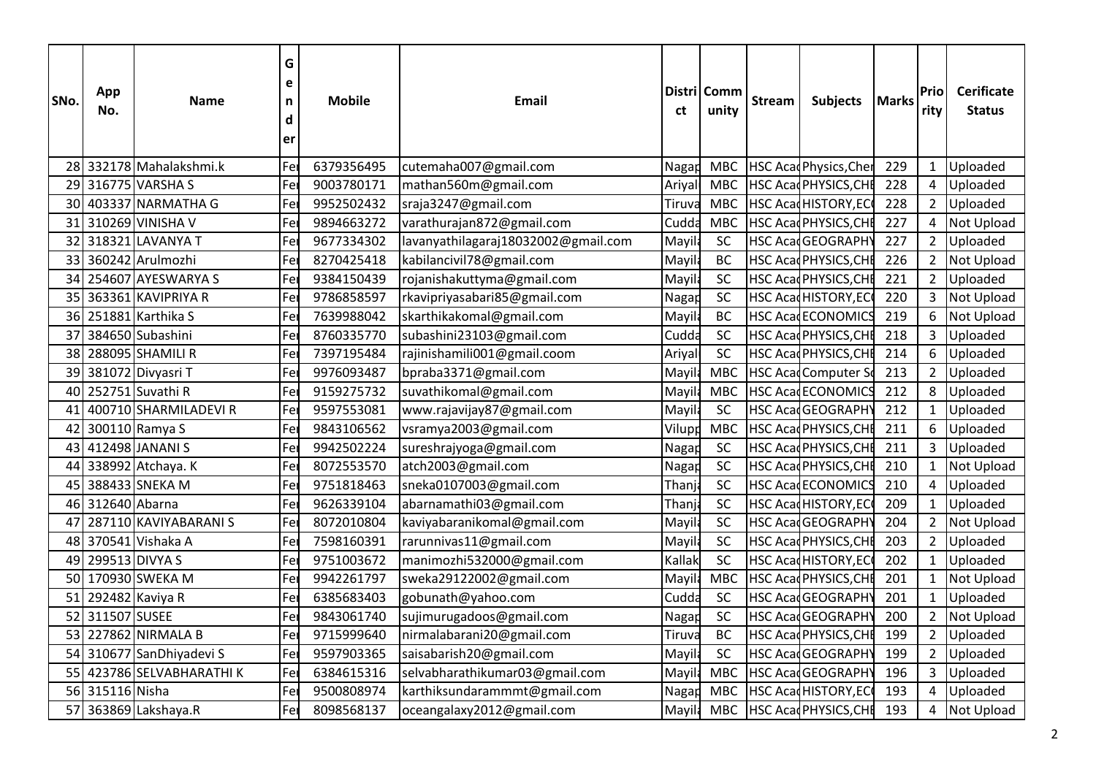| SNo.      | App<br>No.    | G<br>e<br><b>Mobile</b><br><b>Name</b><br>n<br>d<br>ler |             | Email      |                                     | Distri Comm<br>unity | <b>Stream</b> | Subjects   Marks |                              | Prio<br>ritv | <b>Cerificate</b><br><b>Status</b> |            |
|-----------|---------------|---------------------------------------------------------|-------------|------------|-------------------------------------|----------------------|---------------|------------------|------------------------------|--------------|------------------------------------|------------|
| 28I       |               | 332178 Mahalakshmi.k                                    | lFe         | 6379356495 | cutemaha007@gmail.com               | Nagap                | <b>MBC</b>    |                  | HSC Acad Physics, Cher       | 229          | $\mathbf{1}$                       | Uploaded   |
| 29        |               | 316775 VARSHA S                                         | <b> Fe</b>  | 9003780171 | mathan560m@gmail.com                | Ariyal               | <b>MBC</b>    |                  | HSC Acad PHYSICS, CHI        | 228          | 4                                  | Uploaded   |
| <b>30</b> |               | 403337 NARMATHA G                                       | Fe          | 9952502432 | sraja3247@gmail.com                 | Tiruva               | <b>MBC</b>    |                  | <b>HSC AcadHISTORY, EC</b>   | 228          | $\overline{2}$                     | Uploaded   |
| 31        |               | 310269 VINISHA V                                        | Fe          | 9894663272 | varathurajan872@gmail.com           | Cudda                | <b>MBC</b>    |                  | HSC AcadPHYSICS, CH          | 227          | $\overline{\mathbf{4}}$            | Not Upload |
| 32        |               | 318321 LAVANYA T                                        | Fe          | 9677334302 | lavanyathilagaraj18032002@gmail.com | Mayi                 | SC            |                  | HSC AcadGEOGRAPH             | 227          | $\overline{2}$                     | Uploaded   |
| 33        |               | 360242 Arulmozhi                                        | Fe          | 8270425418 | kabilancivil78@gmail.com            | Mayi                 | <b>BC</b>     |                  | HSC AcadPHYSICS, CHI         | 226          | $\overline{2}$                     | Not Upload |
| 34        |               | 254607 AYESWARYA S                                      | Fe          | 9384150439 | rojanishakuttyma@gmail.com          | Mayi                 | <b>SC</b>     |                  | HSC AcadPHYSICS, CHI         | 221          | $\overline{2}$                     | Uploaded   |
| 35        |               | 363361 KAVIPRIYA R                                      | lFe         | 9786858597 | rkavipriyasabari85@gmail.com        | Nagap                | <b>SC</b>     |                  | <b>HSC Acad HISTORY, EC</b>  | 220          | 3                                  | Not Upload |
| 36        |               | 251881 Karthika S                                       | Fe          | 7639988042 | skarthikakomal@gmail.com            | Mayi                 | <b>BC</b>     |                  | <b>HSC AcadECONOMICS</b>     | 219          | 6                                  | Not Upload |
| 37        |               | 384650 Subashini                                        | Fe          | 8760335770 | subashini23103@gmail.com            | Cudda                | SC            |                  | <b>HSC Acad PHYSICS, CHI</b> | 218          | 3                                  | Uploaded   |
| 38        |               | 288095 SHAMILI R                                        | Fe          | 7397195484 | rajinishamili001@gmail.coom         | Ariya                | SC            |                  | <b>HSC Acad PHYSICS, CH</b>  | 214          | 6                                  | Uploaded   |
| 39        |               | 381072 Divyasri T                                       | Fe          | 9976093487 | bpraba3371@gmail.com                | Mayi                 | <b>MBC</b>    |                  | <b>HSC AcadComputer S</b>    | 213          | $\overline{2}$                     | Uploaded   |
| 40        |               | 252751 Suvathi R                                        | Fe          | 9159275732 | suvathikomal@gmail.com              | Mayi                 | <b>MBC</b>    |                  | <b>HSC AcadECONOMICS</b>     | 212          | 8                                  | Uploaded   |
| 41        |               | 400710 SHARMILADEVI R                                   | Fe          | 9597553081 | www.rajavijay87@gmail.com           | Mayi                 | SC            |                  | HSC AcadGEOGRAPH             | 212          | $\mathbf{1}$                       | Uploaded   |
| 42        |               | 300110 Ramya S                                          | <b>I</b> Fe | 9843106562 | vsramya2003@gmail.com               | Vilupp               | <b>MBC</b>    |                  | HSC AcadPHYSICS, CH          | 211          | 6                                  | Uploaded   |
| 43        |               | 412498 JANANI S                                         | Fe          | 9942502224 | sureshrajyoga@gmail.com             | Nagap                | <b>SC</b>     |                  | HSC AcadPHYSICS, CH          | 211          | 3                                  | Uploaded   |
| 44        |               | 338992 Atchaya. K                                       | <b> Fe</b>  | 8072553570 | atch2003@gmail.com                  | Nagap                | <b>SC</b>     |                  | HSC AcadPHYSICS, CHI         | 210          | $\mathbf{1}$                       | Not Upload |
| 45        |               | 388433 SNEKA M                                          | Fe          | 9751818463 | sneka0107003@gmail.com              | Thanj                | <b>SC</b>     |                  | HSC AcadECONOMIC             | 210          | $\overline{\mathbf{4}}$            | Uploaded   |
| 46        | 312640 Abarna |                                                         | Fe          | 9626339104 | abarnamathi03@gmail.com             | Thanj                | SC            |                  | HSC AcadHISTORY, EC          | 209          | $\mathbf{1}$                       | Uploaded   |
| 47        |               | 287110 KAVIYABARANI S                                   | Fe          | 8072010804 | kaviyabaranikomal@gmail.com         | Mayil                | SC            |                  | HSC AcadGEOGRAPHY            | 204          | $\overline{2}$                     | Not Upload |
| 48        |               | 370541 Vishaka A                                        | Fe          | 7598160391 | rarunnivas11@gmail.com              | Mayi                 | SC            |                  | HSC AcadPHYSICS, CHI         | 203          | $\overline{2}$                     | Uploaded   |
| 49        |               | 299513 DIVYA S                                          | Fe          | 9751003672 | manimozhi532000@gmail.com           | Kallal               | <b>SC</b>     |                  | <b>HSC Acad HISTORY, EC</b>  | 202          | $\mathbf{1}$                       | Uploaded   |
| 50        |               | 170930 SWEKA M                                          | lFe         | 9942261797 | sweka29122002@gmail.com             | Mayi                 | <b>MBC</b>    |                  | <b>HSC Acad PHYSICS, CH</b>  | 201          | $\mathbf{1}$                       | Not Upload |
| 51        |               | 292482 Kaviya R                                         | lFe         | 6385683403 | gobunath@yahoo.com                  | Cudda                | <b>SC</b>     |                  | HSC AcadGEOGRAPHY            | 201          | $\mathbf{1}$                       | Uploaded   |
| 52        | 311507 SUSEE  |                                                         | Fe          | 9843061740 | sujimurugadoos@gmail.com            | Naga                 | SC            |                  | HSC AcadGEOGRAPHY            | 200          | $\overline{2}$                     | Not Upload |
| 53        |               | 227862 NIRMALA B                                        | Fe          | 9715999640 | nirmalabarani20@gmail.com           | Tiruva               | <b>BC</b>     |                  | HSC Acad PHYSICS, CHI        | 199          | $\overline{2}$                     | Uploaded   |
| 54        |               | 310677 SanDhiyadevi S                                   | Fe          | 9597903365 | saisabarish20@gmail.com             | Mayi                 | <b>SC</b>     |                  | <b>HSC AcadGEOGRAPH</b>      | 199          | $\overline{2}$                     | Uploaded   |
| 55        |               | 423786 SELVABHARATHI K                                  | Fe          | 6384615316 | selvabharathikumar03@gmail.com      | Mayila               | <b>MBC</b>    |                  | HSC AcadGEOGRAPH             | 196          | 3                                  | Uploaded   |
| 56        | 315116 Nisha  |                                                         | Fe          | 9500808974 | karthiksundarammmt@gmail.com        | Nagap                | <b>MBC</b>    |                  | HSC AcadHISTORY, EC          | 193          | 4                                  | Uploaded   |
| 57        |               | 363869 Lakshaya.R                                       | <b>Fe</b>   | 8098568137 | oceangalaxy2012@gmail.com           | Mayila               | <b>MBC</b>    |                  | HSC AcadPHYSICS, CHI         | 193          | 4                                  | Not Upload |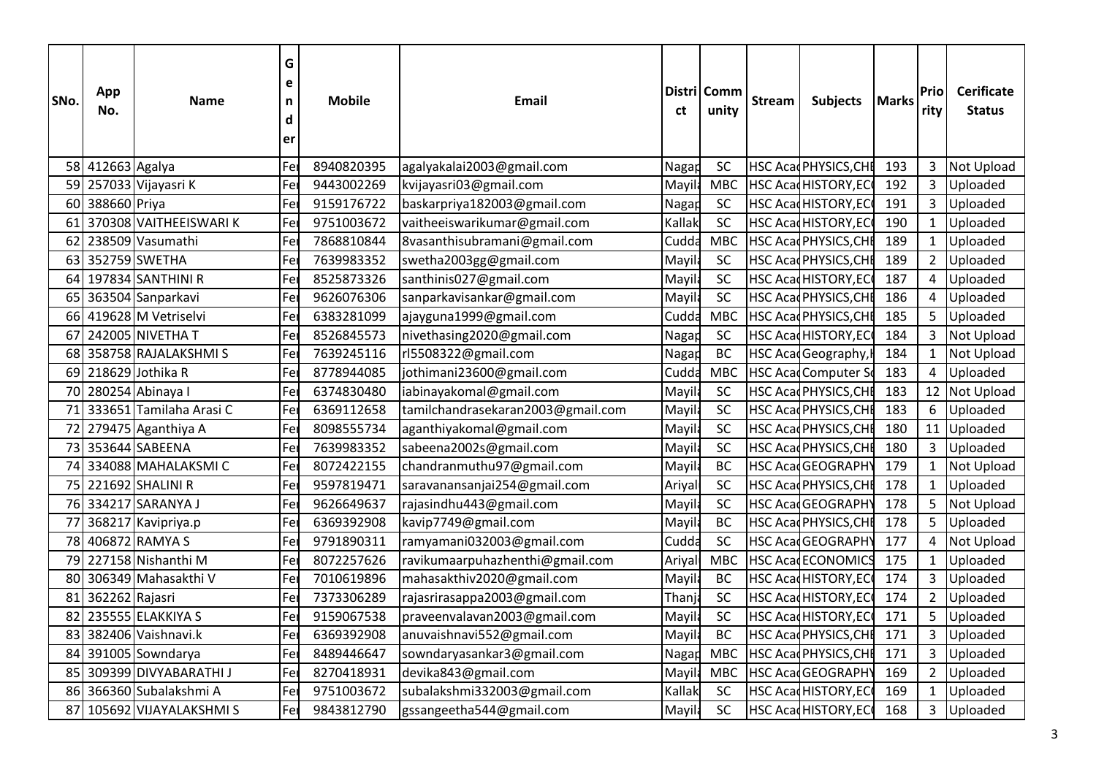| SNo.            | App<br>No.       | Name                    | G<br>e<br>n<br>d<br>ler | <b>Mobile</b> | Email                             |                    | Distri Comm<br>unity | <b>Stream</b> | Subjects   Marks             |     | Prio<br>rity   | <b>Cerificate</b><br><b>Status</b> |  |
|-----------------|------------------|-------------------------|-------------------------|---------------|-----------------------------------|--------------------|----------------------|---------------|------------------------------|-----|----------------|------------------------------------|--|
|                 | 58 412663 Agalya |                         | Fe                      | 8940820395    | agalyakalai2003@gmail.com         | Nagap              | SC                   |               | <b>HSC Acad PHYSICS, CHI</b> | 193 | $\mathbf{3}$   | Not Upload                         |  |
| 59              |                  | 257033 Vijayasri K      | <b> Fe</b>              | 9443002269    | kvijayasri03@gmail.com            | Mayil <sup>!</sup> | <b>MBC</b>           |               | HSC AcadHISTORY, EC          | 192 | 3              | Uploaded                           |  |
| 60              | 388660 Priya     |                         | Fe                      | 9159176722    | baskarpriya182003@gmail.com       | Nagap              | <b>SC</b>            |               | <b>HSC Acad HISTORY, EC</b>  | 191 | $\overline{3}$ | Uploaded                           |  |
| 61              |                  | 370308 VAITHEEISWARI K  | Fe                      | 9751003672    | vaitheeiswarikumar@gmail.com      | Kallak             | <b>SC</b>            |               | HSC AcadHISTORY, EC          | 190 | $\mathbf{1}$   | Uploaded                           |  |
| 62              |                  | 238509 Vasumathi        | Fe                      | 7868810844    | 8vasanthisubramani@gmail.com      | Cudda              | <b>MBC</b>           |               | HSC Acad PHYSICS, CHI        | 189 | $\mathbf{1}$   | Uploaded                           |  |
| 63              |                  | 352759 SWETHA           | Fe                      | 7639983352    | swetha2003gg@gmail.com            | Mayi               | SC                   |               | HSC Acad PHYSICS, CHI        | 189 | $\overline{2}$ | Uploaded                           |  |
| 64              |                  | 197834 SANTHINI R       | Fe                      | 8525873326    | santhinis027@gmail.com            | Mayi               | SC                   |               | HSC AcadHISTORY, EC          | 187 | $\pmb{4}$      | Uploaded                           |  |
| 65              |                  | 363504 Sanparkavi       | Fe                      | 9626076306    | sanparkavisankar@gmail.com        | Mayi               | <b>SC</b>            |               | <b>HSC Acad PHYSICS, CHI</b> | 186 | 4              | Uploaded                           |  |
| 66              |                  | 419628 M Vetriselvi     | Fe                      | 6383281099    | ajayguna1999@gmail.com            | Cudda              | <b>MBC</b>           |               | <b>HSC Acad PHYSICS, CHI</b> | 185 | 5              | Uploaded                           |  |
| 67              |                  | 242005 NIVETHA T        | Fe                      | 8526845573    | nivethasing2020@gmail.com         | Nagap              | SC                   |               | <b>HSC Acad HISTORY, EC</b>  | 184 | 3              | Not Upload                         |  |
| 68              |                  | 358758 RAJALAKSHMIS     | Fe                      | 7639245116    | rl5508322@gmail.com               | Naga               | <b>BC</b>            |               | HSC Acad Geography,          | 184 | $\mathbf{1}$   | <b>Not Upload</b>                  |  |
| 69              |                  | 218629 Jothika R        | Fe                      | 8778944085    | jothimani23600@gmail.com          | Cudda              | <b>MBC</b>           |               | <b>HSC Acad Computer So</b>  | 183 | 4              | Uploaded                           |  |
| 70              |                  | 280254 Abinaya I        | Fe                      | 6374830480    | iabinayakomal@gmail.com           | Mayi               | SC                   |               | HSC AcadPHYSICS, CHI         | 183 | 12             | Not Upload                         |  |
| 71              |                  | 333651 Tamilaha Arasi C | Fe                      | 6369112658    | tamilchandrasekaran2003@gmail.com | Mayi               | SC                   |               | HSC Acad PHYSICS, CHI        | 183 | 6              | Uploaded                           |  |
| 72              |                  | 279475 Aganthiya A      | Fe                      | 8098555734    | aganthiyakomal@gmail.com          | Mayi               | SC                   |               | HSC AcadPHYSICS, CHI         | 180 | 11             | Uploaded                           |  |
| 73              |                  | 353644 SABEENA          | <b>IFe</b>              | 7639983352    | sabeena2002s@gmail.com            | Mayil              | SC                   |               | HSC AcadPHYSICS, CHI         | 180 | 3              | Uploaded                           |  |
| 74              |                  | 334088 MAHALAKSMIC      | Fe                      | 8072422155    | chandranmuthu97@gmail.com         | Mayil              | <b>BC</b>            |               | HSC AcadGEOGRAPHY            | 179 | $\mathbf{1}$   | Not Upload                         |  |
| 75              |                  | 221692 SHALINI R        | Fe                      | 9597819471    | saravanansanjai254@gmail.com      | Ariyal             | <b>SC</b>            |               | HSC AcadPHYSICS, CHI         | 178 | $\mathbf{1}$   | Uploaded                           |  |
| 76 <sub>I</sub> |                  | 334217 SARANYA J        | Fe                      | 9626649637    | rajasindhu443@gmail.com           | Mayil              | SC                   |               | HSC AcadGEOGRAPHY            | 178 | 5              | Not Upload                         |  |
| 77              |                  | 368217 Kavipriya.p      | Fe                      | 6369392908    | kavip7749@gmail.com               | Mayil              | <b>BC</b>            |               | HSC Acad PHYSICS, CHI        | 178 | 5              | Uploaded                           |  |
| 78              |                  | 406872 RAMYA S          | Fe                      | 9791890311    | ramyamani032003@gmail.com         | Cudda              | SC                   |               | HSC AcadGEOGRAPHY            | 177 | 4              | Not Upload                         |  |
| 79              |                  | 227158 Nishanthi M      | Fe                      | 8072257626    | ravikumaarpuhazhenthi@gmail.com   | Ariya              | <b>MBC</b>           |               | <b>HSC AcadECONOMICS</b>     | 175 | $\mathbf{1}$   | Uploaded                           |  |
| 80              |                  | 306349 Mahasakthi V     | Fe                      | 7010619896    | mahasakthiv2020@gmail.com         | Mayi               | <b>BC</b>            |               | <b>HSC Acad HISTORY, EC</b>  | 174 | 3              | Uploaded                           |  |
| 81              | 362262 Rajasri   |                         | lFe                     | 7373306289    | rajasrirasappa2003@gmail.com      | Than               | <b>SC</b>            |               | <b>HSC Acad HISTORY, EC</b>  | 174 | $\overline{2}$ | Uploaded                           |  |
| 82              |                  | 235555 ELAKKIYA S       | lFe                     | 9159067538    | praveenvalavan2003@gmail.com      | Mayi               | SC                   |               | <b>HSC AcadHISTORY, EC</b>   | 171 | 5              | Uploaded                           |  |
| 83              |                  | 382406 Vaishnavi.k      | Fe                      | 6369392908    | anuvaishnavi552@gmail.com         | Mayi               | <b>BC</b>            |               | HSC Acad PHYSICS, CHI        | 171 | 3              | Uploaded                           |  |
| 84              |                  | 391005 Sowndarya        | Fe                      | 8489446647    | sowndaryasankar3@gmail.com        | Nagar              | <b>MBC</b>           |               | HSC Acad PHYSICS, CHI        | 171 | 3              | Uploaded                           |  |
| 85              |                  | 309399 DIVYABARATHI J   | Fei                     | 8270418931    | devika843@gmail.com               | Mayi               | <b>MBC</b>           |               | HSC AcadGEOGRAPHY            | 169 | $\overline{2}$ | Uploaded                           |  |
| 86              |                  | 366360 Subalakshmi A    | <b>l</b> Fe             | 9751003672    | subalakshmi332003@gmail.com       | Kallal             | SC                   |               | <b>HSC Acad HISTORY, EC</b>  | 169 | $\mathbf{1}$   | Uploaded                           |  |
| 87              |                  | 105692 VIJAYALAKSHMI S  | Fe                      | 9843812790    | gssangeetha544@gmail.com          | Mayil              | SC                   |               | HSC Acad HISTORY, EC         | 168 | 3              | Uploaded                           |  |